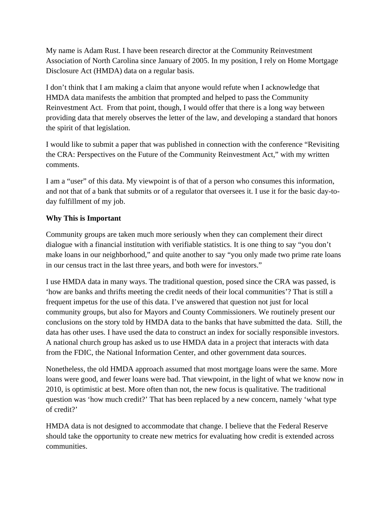My name is Adam Rust. I have been research director at the Community Reinvestment Association of North Carolina since January of 2005. In my position, I rely on Home Mortgage Disclosure Act (HMDA) data on a regular basis.

I don't think that I am making a claim that anyone would refute when I acknowledge that HMDA data manifests the ambition that prompted and helped to pass the Community Reinvestment Act. From that point, though, I would offer that there is a long way between providing data that merely observes the letter of the law, and developing a standard that honors the spirit of that legislation.

I would like to submit a paper that was published in connection with the conference "Revisiting the CRA: Perspectives on the Future of the Community Reinvestment Act," with my written comments.

I am a "user" of this data. My viewpoint is of that of a person who consumes this information, and not that of a bank that submits or of a regulator that oversees it. I use it for the basic day-today fulfillment of my job.

## **Why This is Important**

Community groups are taken much more seriously when they can complement their direct dialogue with a financial institution with verifiable statistics. It is one thing to say "you don't make loans in our neighborhood," and quite another to say "you only made two prime rate loans in our census tract in the last three years, and both were for investors."

I use HMDA data in many ways. The traditional question, posed since the CRA was passed, is 'how are banks and thrifts meeting the credit needs of their local communities'? That is still a frequent impetus for the use of this data. I've answered that question not just for local community groups, but also for Mayors and County Commissioners. We routinely present our conclusions on the story told by HMDA data to the banks that have submitted the data. Still, the data has other uses. I have used the data to construct an index for socially responsible investors. A national church group has asked us to use HMDA data in a project that interacts with data from the FDIC, the National Information Center, and other government data sources.

Nonetheless, the old HMDA approach assumed that most mortgage loans were the same. More loans were good, and fewer loans were bad. That viewpoint, in the light of what we know now in 2010, is optimistic at best. More often than not, the new focus is qualitative. The traditional question was 'how much credit?' That has been replaced by a new concern, namely 'what type of credit?'

HMDA data is not designed to accommodate that change. I believe that the Federal Reserve should take the opportunity to create new metrics for evaluating how credit is extended across communities.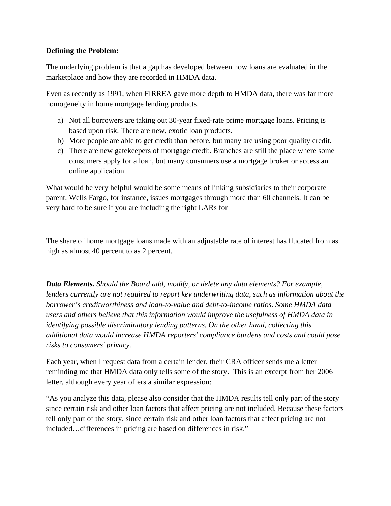## **Defining the Problem:**

The underlying problem is that a gap has developed between how loans are evaluated in the marketplace and how they are recorded in HMDA data.

Even as recently as 1991, when FIRREA gave more depth to HMDA data, there was far more homogeneity in home mortgage lending products.

- a) Not all borrowers are taking out 30-year fixed-rate prime mortgage loans. Pricing is based upon risk. There are new, exotic loan products.
- b) More people are able to get credit than before, but many are using poor quality credit.
- c) There are new gatekeepers of mortgage credit. Branches are still the place where some consumers apply for a loan, but many consumers use a mortgage broker or access an online application.

What would be very helpful would be some means of linking subsidiaries to their corporate parent. Wells Fargo, for instance, issues mortgages through more than 60 channels. It can be very hard to be sure if you are including the right LARs for

The share of home mortgage loans made with an adjustable rate of interest has flucated from as high as almost 40 percent to as 2 percent.

*Data Elements. Should the Board add, modify, or delete any data elements? For example, lenders currently are not required to report key underwriting data, such as information about the borrower's creditworthiness and loan-to-value and debt-to-income ratios. Some HMDA data users and others believe that this information would improve the usefulness of HMDA data in identifying possible discriminatory lending patterns. On the other hand, collecting this additional data would increase HMDA reporters' compliance burdens and costs and could pose risks to consumers' privacy.* 

Each year, when I request data from a certain lender, their CRA officer sends me a letter reminding me that HMDA data only tells some of the story. This is an excerpt from her 2006 letter, although every year offers a similar expression:

"As you analyze this data, please also consider that the HMDA results tell only part of the story since certain risk and other loan factors that affect pricing are not included. Because these factors tell only part of the story, since certain risk and other loan factors that affect pricing are not included…differences in pricing are based on differences in risk."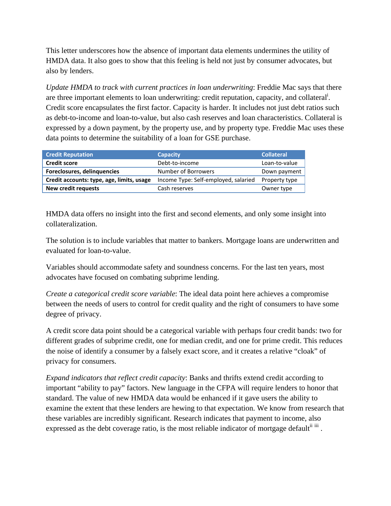This letter underscores how the absence of important data elements undermines the utility of HMDA data. It also goes to show that this feeling is held not just by consumer advocates, but also by lenders.

*Update HMDA to track with current practices in loan underwriting*: Freddie Mac says that there are three important elements to loan underwriting: credit reputation, capacity, and collateral<sup>i</sup>. Credit score encapsulates the first factor. Capacity is harder. It includes not just debt ratios such as debt-to-income and loan-to-value, but also cash reserves and loan characteristics. Collateral is expressed by a down payment, by the property use, and by property type. Freddie Mac uses these data points to determine the suitability of a loan for GSE purchase.

| <b>Credit Reputation</b>                  | <b>Capacity</b>                      | <b>Collateral</b> |
|-------------------------------------------|--------------------------------------|-------------------|
| <b>Credit score</b>                       | Debt-to-income                       | Loan-to-value     |
| Foreclosures, delinquencies               | Number of Borrowers                  | Down payment      |
| Credit accounts: type, age, limits, usage | Income Type: Self-employed, salaried | Property type     |
| <b>New credit requests</b>                | Cash reserves                        | Owner type        |

HMDA data offers no insight into the first and second elements, and only some insight into collateralization.

The solution is to include variables that matter to bankers. Mortgage loans are underwritten and evaluated for loan-to-value.

Variables should accommodate safety and soundness concerns. For the last ten years, most advocates have focused on combating subprime lending.

*Create a categorical credit score variable*: The ideal data point here achieves a compromise between the needs of users to control for credit quality and the right of consumers to have some degree of privacy.

A credit score data point should be a categorical variable with perhaps four credit bands: two for different grades of subprime credit, one for median credit, and one for prime credit. This reduces the noise of identify a consumer by a falsely exact score, and it creates a relative "cloak" of privacy for consumers.

*Expand indicators that reflect credit capacity*: Banks and thrifts extend credit according to important "ability to pay" factors. New language in the CFPA will require lenders to honor that standard. The value of new HMDA data would be enhanced if it gave users the ability to examine the extent that these lenders are hewing to that expectation. We know from research that these variables are incredibly significant. Research indicates that payment to income, also expressed as the debt coverage ratio, is the most reliable indicator of mortgage default<sup>ii iii</sup>.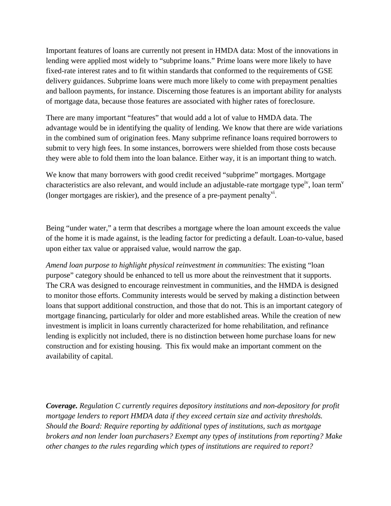Important features of loans are currently not present in HMDA data: Most of the innovations in lending were applied most widely to "subprime loans." Prime loans were more likely to have fixed-rate interest rates and to fit within standards that conformed to the requirements of GSE delivery guidances. Subprime loans were much more likely to come with prepayment penalties and balloon payments, for instance. Discerning those features is an important ability for analysts of mortgage data, because those features are associated with higher rates of foreclosure.

There are many important "features" that would add a lot of value to HMDA data. The advantage would be in identifying the quality of lending. We know that there are wide variations in the combined sum of origination fees. Many subprime refinance loans required borrowers to submit to very high fees. In some instances, borrowers were shielded from those costs because they were able to fold them into the loan balance. Either way, it is an important thing to watch.

We know that many borrowers with good credit received "subprime" mortgages. Mortgage characteristics are also relevant, and would include an adjustable-rate mortgage type<sup>iv</sup>, loan term<sup>v</sup> (longer mortgages are riskier), and the presence of a pre-payment penalty<sup>vi</sup>.

Being "under water," a term that describes a mortgage where the loan amount exceeds the value of the home it is made against, is the leading factor for predicting a default. Loan-to-value, based upon either tax value or appraised value, would narrow the gap.

*Amend loan purpose to highlight physical reinvestment in communities*: The existing "loan purpose" category should be enhanced to tell us more about the reinvestment that it supports. The CRA was designed to encourage reinvestment in communities, and the HMDA is designed to monitor those efforts. Community interests would be served by making a distinction between loans that support additional construction, and those that do not. This is an important category of mortgage financing, particularly for older and more established areas. While the creation of new investment is implicit in loans currently characterized for home rehabilitation, and refinance lending is explicitly not included, there is no distinction between home purchase loans for new construction and for existing housing. This fix would make an important comment on the availability of capital.

*Coverage. Regulation C currently requires depository institutions and non-depository for profit mortgage lenders to report HMDA data if they exceed certain size and activity thresholds. Should the Board: Require reporting by additional types of institutions, such as mortgage brokers and non lender loan purchasers? Exempt any types of institutions from reporting? Make other changes to the rules regarding which types of institutions are required to report?*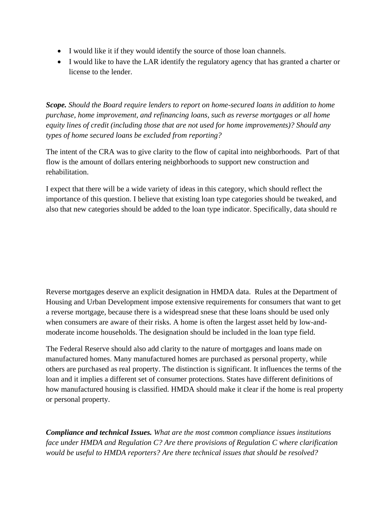- I would like it if they would identify the source of those loan channels.
- I would like to have the LAR identify the regulatory agency that has granted a charter or license to the lender.

*Scope. Should the Board require lenders to report on home-secured loans in addition to home purchase, home improvement, and refinancing loans, such as reverse mortgages or all home equity lines of credit (including those that are not used for home improvements)? Should any types of home secured loans be excluded from reporting?* 

The intent of the CRA was to give clarity to the flow of capital into neighborhoods. Part of that flow is the amount of dollars entering neighborhoods to support new construction and rehabilitation.

I expect that there will be a wide variety of ideas in this category, which should reflect the importance of this question. I believe that existing loan type categories should be tweaked, and also that new categories should be added to the loan type indicator. Specifically, data should re

Reverse mortgages deserve an explicit designation in HMDA data. Rules at the Department of Housing and Urban Development impose extensive requirements for consumers that want to get a reverse mortgage, because there is a widespread snese that these loans should be used only when consumers are aware of their risks. A home is often the largest asset held by low-andmoderate income households. The designation should be included in the loan type field.

The Federal Reserve should also add clarity to the nature of mortgages and loans made on manufactured homes. Many manufactured homes are purchased as personal property, while others are purchased as real property. The distinction is significant. It influences the terms of the loan and it implies a different set of consumer protections. States have different definitions of how manufactured housing is classified. HMDA should make it clear if the home is real property or personal property.

*Compliance and technical Issues. What are the most common compliance issues institutions face under HMDA and Regulation C? Are there provisions of Regulation C where clarification would be useful to HMDA reporters? Are there technical issues that should be resolved?*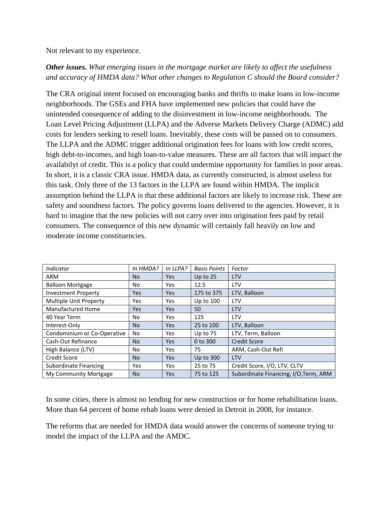Not relevant to my experience.

## *Other issues. What emerging issues in the mortgage market are likely to affect the usefulness and accuracy of HMDA data? What other changes to Regulation C should the Board consider?*

The CRA original intent focused on encouraging banks and thrifts to make loans in low-income neighborhoods. The GSEs and FHA have implemented new policies that could have the unintended consequence of adding to the disinvestment in low-income neighborhoods. The Loan Level Pricing Adjustment (LLPA) and the Adverse Markets Delivery Charge (ADMC) add costs for lenders seeking to resell loans. Inevitably, these costs will be passed on to consumers. The LLPA and the ADMC trigger additional origination fees for loans with low credit scores, high debt-to-incomes, and high loan-to-value measures. These are all factors that will impact the availabilyt of credit. This is a policy that could undermine opportunity for families in poor areas. In short, it is a classic CRA issue. HMDA data, as currently constructed, is almost useless for this task. Only three of the 13 factors in the LLPA are found within HMDA. The implicit assumption behind the LLPA is that these additional factors are likely to increase risk. These are safety and soundness factors. The policy governs loans delivered to the agencies. However, it is hard to imagine that the new policies will not carry over into origination fees paid by retail consumers. The consequence of this new dynamic will certainly fall heavily on low and moderate income constituencies.

| <b>Indicator</b>              | In HMDA?  | In LLPA?   | <b>Basis Points</b> | Factor                                |
|-------------------------------|-----------|------------|---------------------|---------------------------------------|
| <b>ARM</b>                    | <b>No</b> | Yes        | Up to 25            | <b>LTV</b>                            |
| <b>Balloon Mortgage</b>       | No        | <b>Yes</b> | 12.5                | <b>LTV</b>                            |
| <b>Investment Property</b>    | Yes       | Yes        | 175 to 375          | LTV, Balloon                          |
| <b>Multiple Unit Property</b> | Yes       | <b>Yes</b> | Up to 100           | <b>LTV</b>                            |
| Manufactured Home             | Yes       | Yes.       | 50                  | <b>LTV</b>                            |
| 40 Year Term                  | No.       | <b>Yes</b> | 125                 | <b>LTV</b>                            |
| Interest-Only                 | <b>No</b> | Yes        | 25 to 100           | LTV, Balloon                          |
| Condominium or Co-Operative   | No        | <b>Yes</b> | Up to $75$          | LTV, Term, Balloon                    |
| Cash-Out Refinance            | No.       | Yes        | 0 to 300            | <b>Credit Score</b>                   |
| High Balance (LTV)            | No        | Yes        | 75                  | ARM, Cash-Out Refi                    |
| Credit Score                  | <b>No</b> | Yes        | <b>Up to 300</b>    | <b>LTV</b>                            |
| Subordinate Financing         | Yes       | Yes        | 25 to 75            | Credit Score, I/O, LTV, CLTV          |
| My Community Mortgage         | <b>No</b> | Yes        | 75 to 125           | Subordinate Financing, I/O, Term, ARM |

In some cities, there is almost no lending for new construction or for home rehabilitation loans. More than 64 percent of home rehab loans were denied in Detroit in 2008, for instance.

The reforms that are needed for HMDA data would answer the concerns of someone trying to model the impact of the LLPA and the AMDC.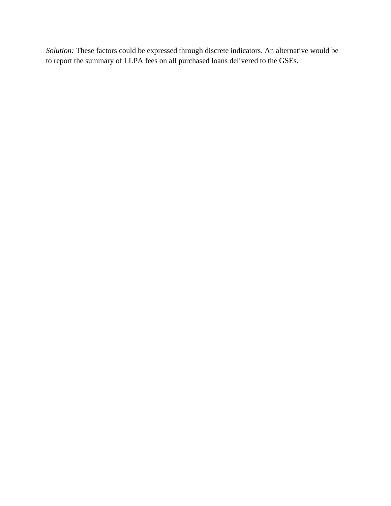*Solution:* These factors could be expressed through discrete indicators. An alternative would be to report the summary of LLPA fees on all purchased loans delivered to the GSEs.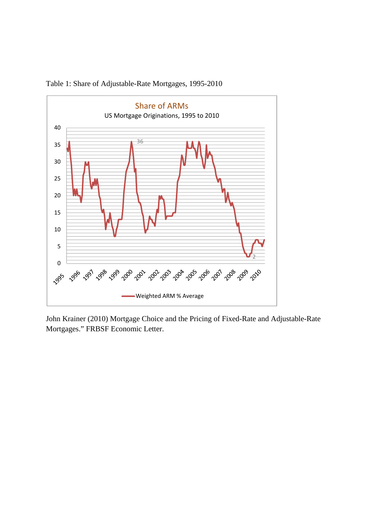

Table 1: Share of Adjustable-Rate Mortgages, 1995-2010

John Krainer (2010) Mortgage Choice and the Pricing of Fixed-Rate and Adjustable-Rate Mortgages." FRBSF Economic Letter.